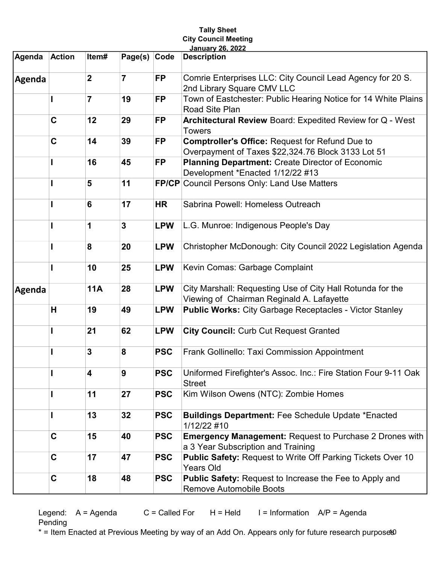## Tally Sheet City Council Meeting January 26, 2022

| Agenda | <b>Action</b> | Item#          | Page(s) Code   |            | <b>Description</b>                                                                                           |
|--------|---------------|----------------|----------------|------------|--------------------------------------------------------------------------------------------------------------|
| Agenda |               | $\overline{2}$ | $\overline{7}$ | <b>FP</b>  | Comrie Enterprises LLC: City Council Lead Agency for 20 S.<br>2nd Library Square CMV LLC                     |
|        |               | $\overline{7}$ | 19             | <b>FP</b>  | Town of Eastchester: Public Hearing Notice for 14 White Plains<br>Road Site Plan                             |
|        | $\mathbf C$   | 12             | 29             | <b>FP</b>  | Architectural Review Board: Expedited Review for Q - West<br><b>Towers</b>                                   |
|        | $\mathbf C$   | 14             | 39             | <b>FP</b>  | <b>Comptroller's Office: Request for Refund Due to</b><br>Overpayment of Taxes \$22,324.76 Block 3133 Lot 51 |
|        |               | 16             | 45             | <b>FP</b>  | <b>Planning Department: Create Director of Economic</b><br>Development *Enacted 1/12/22 #13                  |
|        |               | 5              | 11             |            | <b>FP/CP Council Persons Only: Land Use Matters</b>                                                          |
|        |               | 6              | 17             | <b>HR</b>  | Sabrina Powell: Homeless Outreach                                                                            |
|        |               | 1              | $\mathbf{3}$   | <b>LPW</b> | L.G. Munroe: Indigenous People's Day                                                                         |
|        |               | 8              | 20             | <b>LPW</b> | Christopher McDonough: City Council 2022 Legislation Agenda                                                  |
|        |               | 10             | 25             | <b>LPW</b> | Kevin Comas: Garbage Complaint                                                                               |
| Agenda |               | <b>11A</b>     | 28             | <b>LPW</b> | City Marshall: Requesting Use of City Hall Rotunda for the<br>Viewing of Chairman Reginald A. Lafayette      |
|        | H             | 19             | 49             | <b>LPW</b> | <b>Public Works: City Garbage Receptacles - Victor Stanley</b>                                               |
|        |               | 21             | 62             | <b>LPW</b> | <b>City Council: Curb Cut Request Granted</b>                                                                |
|        |               | 3              | 8              | <b>PSC</b> | Frank Gollinello: Taxi Commission Appointment                                                                |
|        |               | 4              | 9              | <b>PSC</b> | Uniformed Firefighter's Assoc. Inc.: Fire Station Four 9-11 Oak<br><b>Street</b>                             |
|        |               | 11             | 27             | <b>PSC</b> | Kim Wilson Owens (NTC): Zombie Homes                                                                         |
|        |               | 13             | 32             | <b>PSC</b> | <b>Buildings Department: Fee Schedule Update *Enacted</b><br>1/12/22 #10                                     |
|        | C             | 15             | 40             | <b>PSC</b> | <b>Emergency Management: Request to Purchase 2 Drones with</b><br>a 3 Year Subscription and Training         |
|        | $\mathbf c$   | 17             | 47             | <b>PSC</b> | <b>Public Safety: Request to Write Off Parking Tickets Over 10</b><br><b>Years Old</b>                       |
|        | $\mathbf c$   | 18             | 48             | <b>PSC</b> | <b>Public Safety: Request to Increase the Fee to Apply and</b><br><b>Remove Automobile Boots</b>             |

Legend:  $A = Agenda$   $C = Called For$   $H = Held$   $I = Information$   $AP = Agenda$ Pending

\* = Item Enacted at Previous Meeting by way of an Add On. Appears only for future research purpose®